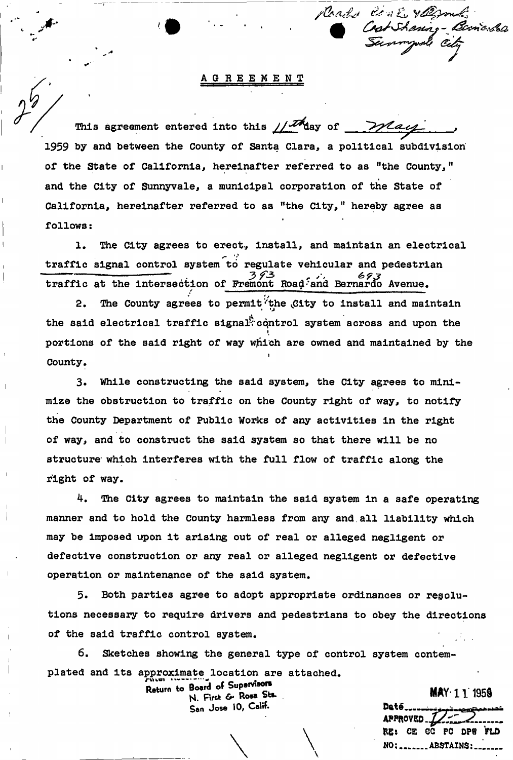**GREEMENT** 

Roads Conti valgond

Shaning - Bernardsa

This agreement entered into this  $\mu^{\text{max}}$  of *milay* **1959 hy and between the County of Santa Clara, a political subdivision of the State of California, hereinafter referred to as "the County,"**  \* **and the City of Sunnyvale, a municipal corporation of the State of California, hereinafter referred to as "the City, 11 hereby agree as follows:** 

1. The City agrees to erect, install, and maintain an electrical **traffic signal control system to regulate vehicular and pedestrian traffic at the intersection of Fremont Road-and Bernardo Avenue.** 

2. The County agrees to permit<sup>t</sup> the City to install and maintain the said electrical traffic signal<sup>P</sup>control system across and upon the **i portions of the said right of way which are owned and maintained by the i County.** 

**3. While constructing the said system, the City agrees to minimize the obstruction to traffic on the County right of way, to notify the County Department of Public Works of any activities in the right of way, and to construct the said system so that there will be no**  structure which interferes with the full flow of traffic along the **right of way.** 

**4. The City agrees to maintain the said system in a safe operating manner and to hold the County harmless from any and,all liability which may be imposed upon it arising out of real or alleged negligent or defective construction or any real or alleged negligent or defective operation or maintenance of the said system.** 

**5. Both parties agree to adopt appropriate ordinances or resolutions necessary to require drivers and pedestrians to obey the directions of the said traffic control system.** 

\ \

**6. Sketches showing the general type of control system contem**plated and its approximate location are attached.<br>Return to Board of Supervisors

N. First & Rosa Sts. San Jose 10, Calif.

**MAY 11 1959** 

APPROVED.. K£i CE CG PC DPW FLD **NO: ........ ABSTAINS: ...**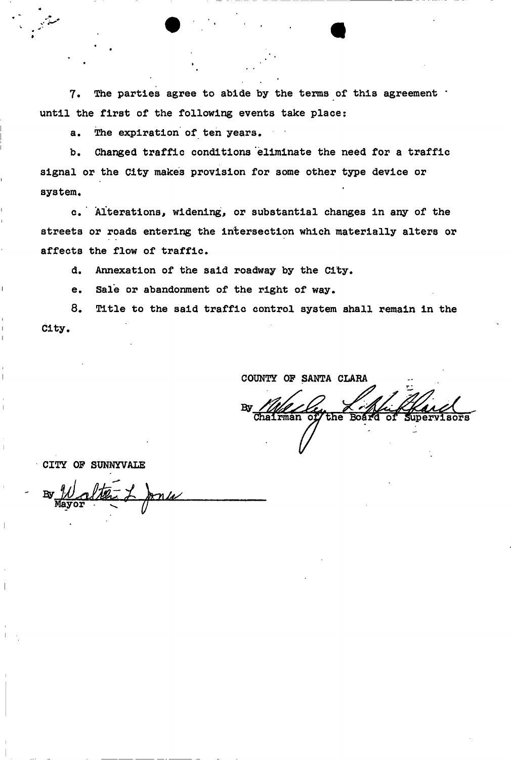**7. The parties agree to abide by the terras of this agreement \* until the first of the following events take place:** 

**a. The expiration of ten years.** 

**b. Changed traffic conditions eliminate the need for a traffic signal or the City makes provision for some other type device or system.** 

**c. Alterations, widening, or substantial changes in any of the streets or roads entering the intersection which materially alters or affects the flow of traffic.** 

**d. Annexation of the said roadway by the City.** 

**e. Sale or abandonment of the right of way.** 

**8. Title to the said traffic control system shall remain in the City.** 

**COUNTY OF SANTA CLARA**  the

**CITY OP SUNNYVALE**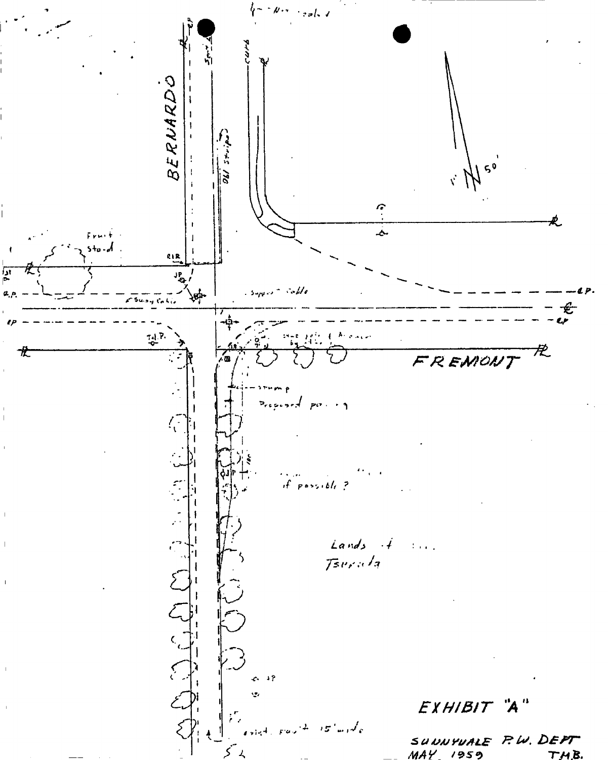real, v BERNARDO مع دسته و 50  $\tilde{z}$  $\mathcal{C}$  $\hat{z}$ Æ. ۔<br>حا  $5 + a$ .  $\frac{1}{2}$  $\begin{array}{c} \overline{\mathbf{1}} \\ \overline{\mathbf{1}} \\ \mathbf{2} \\ \mathbf{3} \end{array}$ JP<br>40  $\sim$  Me .<br>برجي 74.P 龙 党 FREMONT  $PQ \rightarrow 1$ Þ.  $\sqrt{\frac{1}{2}}$  $p \cos \omega l_{\epsilon}$ ? Æ, Lands  $\cdot$  $\{x_1, x_2\}$ Tsurala  $\sum_{\substack{\leftarrow \\ \leftarrow}}$  $\sum_{i=1}^{n}$  $6.32$ Ģ, سم<br>مەس EXHIBIT  $\boldsymbol{\mu}$ "A SUWNYWALE P.W. DEPT  $\overline{\mathcal{S}}$  $MAY$  1959 TMB.